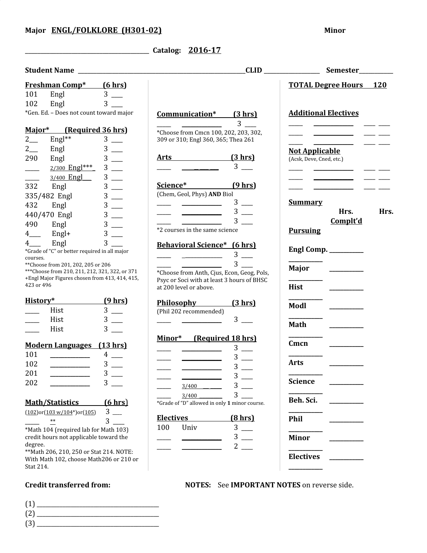\_\_\_\_\_\_\_\_\_\_\_\_\_\_\_\_\_\_\_\_\_\_\_\_\_\_\_\_\_\_\_\_\_\_\_\_\_\_\_\_ **Catalog: 2016-17**

| <b>Freshman Comp*</b> (6 hrs)                                                                     |              |                                                                      |                  | <b>TOTAL Degree Hours</b> 120 |      |
|---------------------------------------------------------------------------------------------------|--------------|----------------------------------------------------------------------|------------------|-------------------------------|------|
| 101<br>Engl                                                                                       | $3$ __       |                                                                      |                  |                               |      |
| 102<br>Engl                                                                                       | $3$ —        |                                                                      |                  |                               |      |
| *Gen. Ed. - Does not count toward major                                                           |              | Communication* (3 hrs)                                               | $3 \quad \qquad$ | <b>Additional Electives</b>   |      |
| Major* (Required 36 hrs)                                                                          |              | *Choose from Cmcn 100, 202, 203, 302,                                |                  |                               |      |
| $2\frac{2}{2}$<br>Engl**                                                                          | $3$ —        | 309 or 310; Engl 360, 365; Thea 261                                  |                  |                               |      |
| $2\overline{a}$<br>Engl                                                                           | $3$ —        |                                                                      |                  | <b>Not Applicable</b>         |      |
| 290<br>Engl                                                                                       |              | <u>Arts (3 hrs)</u>                                                  |                  | (Acsk, Deve, Cned, etc.)      |      |
| $2/300$ Engl***<br>$\overline{\phantom{a}}$                                                       | $3$ —        |                                                                      | $3$ —            |                               |      |
| 3/400 Engl                                                                                        | $3$ —        |                                                                      |                  |                               |      |
| 332<br>Engl                                                                                       | $3$ —        | Science* (9 hrs)                                                     |                  |                               |      |
| 335/482 Engl                                                                                      | $3$ —        | (Chem, Geol, Phys) AND Biol                                          |                  |                               |      |
| 432<br>Engl                                                                                       | $3$ —        |                                                                      | $3 \equiv$       | <b>Summary</b>                |      |
| 440/470 Engl                                                                                      | $3$ —        |                                                                      | $3 -$            | Hrs.                          | Hrs. |
| 490<br>Engl                                                                                       | $3$ —        |                                                                      | $3$ —            | Complt'd                      |      |
| $4$ <sub>——</sub><br>$Engl+$                                                                      | $3$ —        | *2 courses in the same science                                       |                  | <b>Pursuing</b>               |      |
| Engl<br>$4$ <sub>——</sub>                                                                         | $3$ $\qquad$ |                                                                      |                  |                               |      |
| *Grade of "C" or better required in all major                                                     |              | <b>Behavioral Science*</b> (6 hrs)                                   |                  | Engl Comp. ________           |      |
| courses.                                                                                          |              |                                                                      | $3$ —            |                               |      |
| **Choose from 201, 202, 205 or 206                                                                |              |                                                                      | $3 -$            | Major _______                 |      |
| *** Choose from 210, 211, 212, 321, 322, or 371<br>+Engl Major Figures chosen from 413, 414, 415, |              | *Choose from Anth, Cjus, Econ, Geog, Pols,                           |                  |                               |      |
| 423 or 496                                                                                        |              | Psyc or Soci with at least 3 hours of BHSC<br>at 200 level or above. |                  | <b>Hist</b>                   |      |
|                                                                                                   |              |                                                                      |                  |                               |      |
| History* <b>All Accords</b>                                                                       | (9 hrs)      | <b>Philosophy</b>                                                    | (3 hrs)          | Modl                          |      |
| Hist                                                                                              | $3$ —        | (Phil 202 recommended)                                               |                  |                               |      |
| Hist<br>$\mathcal{L}^{\text{max}}$                                                                | $3$ —        |                                                                      | $3$ —            | Math                          |      |
| Hist                                                                                              |              |                                                                      |                  |                               |      |
|                                                                                                   |              | Minor* (Required 18 hrs)                                             |                  | Cmcn                          |      |
| Modern Languages (13 hrs)                                                                         |              |                                                                      | $3$ —            |                               |      |
| 101                                                                                               | $4$ —        |                                                                      | $3 \equiv$       |                               |      |
| 102<br><u> 1990 - Johann Barbara, martin a</u>                                                    | $3$ —        |                                                                      | $3$ $\equiv$     | <b>Arts</b>                   |      |
| 201                                                                                               | $3^{\circ}$  |                                                                      | $3_{-}$          |                               |      |
| 202                                                                                               | $3-$         | 3/400                                                                | 3                | <b>Science</b>                |      |
|                                                                                                   |              | 3/400                                                                | 3                |                               |      |
| <u>Math/Statistics</u>                                                                            | (6 hrs)      | *Grade of "D" allowed in only 1 minor course.                        |                  | Beh. Sci.                     |      |
| $(102)$ or $(103 w/104*)$ or $(105)$                                                              | $3\equiv$    |                                                                      |                  |                               |      |
| $\ast\ast$                                                                                        | 3            | <b>Electives</b>                                                     | (8 hrs)          | Phil                          |      |
| *Math 104 (required lab for Math 103)                                                             |              | 100<br>Univ                                                          | 3                |                               |      |
| credit hours not applicable toward the                                                            |              |                                                                      | 3                | <b>Minor</b>                  |      |
| degree.<br>** Math 206, 210, 250 or Stat 214. NOTE:                                               |              |                                                                      | 2                |                               |      |
| With Math 102, choose Math206 or 210 or                                                           |              |                                                                      |                  | <b>Electives</b>              |      |
| Stat 214.                                                                                         |              |                                                                      |                  |                               |      |
|                                                                                                   |              |                                                                      |                  |                               |      |

## **Credit transferred from: NOTES:** See **IMPORTANT NOTES** on reverse side.

(1) \_\_\_\_\_\_\_\_\_\_\_\_\_\_\_\_\_\_\_\_\_\_\_\_\_\_\_\_\_\_\_\_\_\_\_\_\_\_\_\_\_\_\_ (2) \_\_\_\_\_\_\_\_\_\_\_\_\_\_\_\_\_\_\_\_\_\_\_\_\_\_\_\_\_\_\_\_\_\_\_\_\_\_\_\_\_\_\_ (3) \_\_\_\_\_\_\_\_\_\_\_\_\_\_\_\_\_\_\_\_\_\_\_\_\_\_\_\_\_\_\_\_\_\_\_\_\_\_\_\_\_\_\_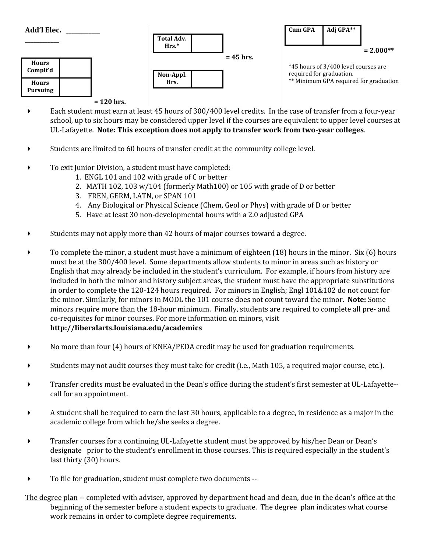

## **= 120 hrs.**

- Each student must earn at least 45 hours of 300/400 level credits. In the case of transfer from a four-year school, up to six hours may be considered upper level if the courses are equivalent to upper level courses at UL-Lafayette. **Note: This exception does not apply to transfer work from two-year colleges**.
- Students are limited to 60 hours of transfer credit at the community college level.
- To exit Junior Division, a student must have completed:
	- 1. ENGL 101 and 102 with grade of C or better
	- 2. MATH 102, 103 w/104 (formerly Math100) or 105 with grade of D or better
	- 3. FREN, GERM, LATN, or SPAN 101
	- 4. Any Biological or Physical Science (Chem, Geol or Phys) with grade of D or better
	- 5. Have at least 30 non-developmental hours with a 2.0 adjusted GPA
- Students may not apply more than 42 hours of major courses toward a degree.
- To complete the minor, a student must have a minimum of eighteen (18) hours in the minor. Six (6) hours must be at the 300/400 level. Some departments allow students to minor in areas such as history or English that may already be included in the student's curriculum. For example, if hours from history are included in both the minor and history subject areas, the student must have the appropriate substitutions in order to complete the 120-124 hours required. For minors in English; Engl 101&102 do not count for the minor. Similarly, for minors in MODL the 101 course does not count toward the minor. **Note:** Some minors require more than the 18-hour minimum. Finally, students are required to complete all pre- and co-requisites for minor courses. For more information on minors, visit **http://liberalarts.louisiana.edu/academics**
- No more than four (4) hours of KNEA/PEDA credit may be used for graduation requirements.
- Students may not audit courses they must take for credit (i.e., Math 105, a required major course, etc.).
- Transfer credits must be evaluated in the Dean's office during the student's first semester at UL-Lafayette- call for an appointment.
- A student shall be required to earn the last 30 hours, applicable to a degree, in residence as a major in the academic college from which he/she seeks a degree.
- Transfer courses for a continuing UL-Lafayette student must be approved by his/her Dean or Dean's designate prior to the student's enrollment in those courses. This is required especially in the student's last thirty (30) hours.
- To file for graduation, student must complete two documents --
- The degree plan -- completed with adviser, approved by department head and dean, due in the dean's office at the beginning of the semester before a student expects to graduate. The degree plan indicates what course work remains in order to complete degree requirements.